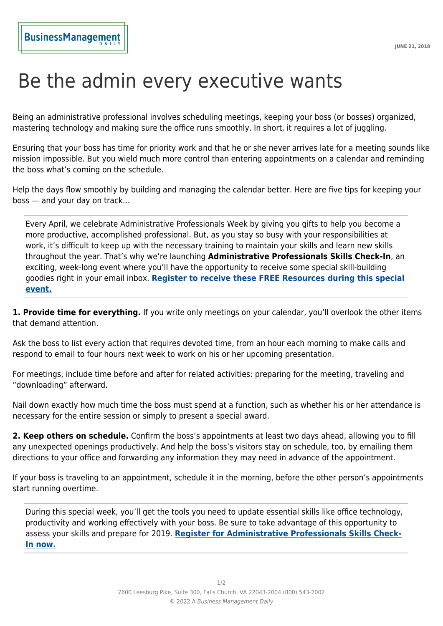## Be the admin every executive wants

Being an administrative professional involves scheduling meetings, keeping your boss (or bosses) organized, mastering technology and making sure the office runs smoothly. In short, it requires a lot of juggling.

Ensuring that your boss has time for priority work and that he or she never arrives late for a meeting sounds like mission impossible. But you wield much more control than entering appointments on a calendar and reminding the boss what's coming on the schedule.

Help the days flow smoothly by building and managing the calendar better. Here are five tips for keeping your boss — and your day on track…

Every April, we celebrate Administrative Professionals Week by giving you gifts to help you become a more productive, accomplished professional. But, as you stay so busy with your responsibilities at work, it's difficult to keep up with the necessary training to maintain your skills and learn new skills throughout the year. That's why we're launching **Administrative Professionals Skills Check-In**, an exciting, week-long event where you'll have the opportunity to receive some special skill-building goodies right in your email inbox. **[Register to receive these FREE Resources during this special](https://training.businessmanagementdaily.com/7620/administrative-professionals-skills-check-in-7/?src=iaapofficeproexp-dap-om-apskillscheckin18-090618&utm_campaign=om&utm_medium=dap&utm_source=iaapofficeproexp090618&utm_content=apskillscheckin18) [event.](https://training.businessmanagementdaily.com/7620/administrative-professionals-skills-check-in-7/?src=iaapofficeproexp-dap-om-apskillscheckin18-090618&utm_campaign=om&utm_medium=dap&utm_source=iaapofficeproexp090618&utm_content=apskillscheckin18)**

**1. Provide time for everything.** If you write only meetings on your calendar, you'll overlook the other items that demand attention.

Ask the boss to list every action that requires devoted time, from an hour each morning to make calls and respond to email to four hours next week to work on his or her upcoming presentation.

For meetings, include time before and after for related activities: preparing for the meeting, traveling and "downloading" afterward.

Nail down exactly how much time the boss must spend at a function, such as whether his or her attendance is necessary for the entire session or simply to present a special award.

**2. Keep others on schedule.** Confirm the boss's appointments at least two days ahead, allowing you to fill any unexpected openings productively. And help the boss's visitors stay on schedule, too, by emailing them directions to your office and forwarding any information they may need in advance of the appointment.

If your boss is traveling to an appointment, schedule it in the morning, before the other person's appointments start running overtime.

During this special week, you'll get the tools you need to update essential skills like office technology, productivity and working effectively with your boss. Be sure to take advantage of this opportunity to assess your skills and prepare for 2019. **[Register for Administrative Professionals Skills Check-](https://training.businessmanagementdaily.com/7620/administrative-professionals-skills-check-in-7/?src=iaapofficeproexp-dap-om-apskillscheckin18-090618&utm_campaign=om&utm_medium=dap&utm_source=iaapofficeproexp090618&utm_content=apskillscheckin18)[In now.](https://training.businessmanagementdaily.com/7620/administrative-professionals-skills-check-in-7/?src=iaapofficeproexp-dap-om-apskillscheckin18-090618&utm_campaign=om&utm_medium=dap&utm_source=iaapofficeproexp090618&utm_content=apskillscheckin18)**